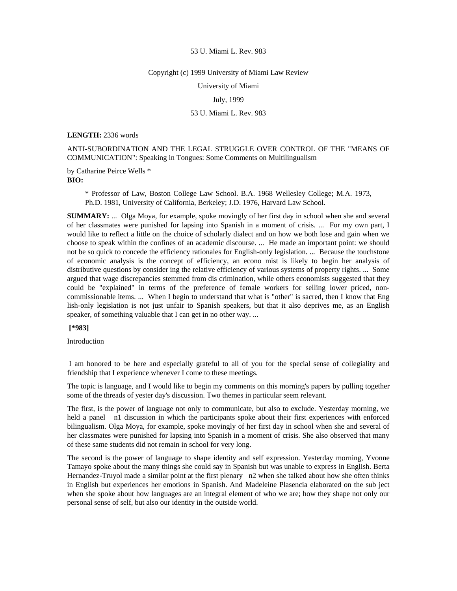#### Copyright (c) 1999 University of Miami Law Review

University of Miami

### July, 1999

# 53 U. Miami L. Rev. 983

#### **LENGTH:** 2336 words

ANTI-SUBORDINATION AND THE LEGAL STRUGGLE OVER CONTROL OF THE "MEANS OF COMMUNICATION": Speaking in Tongues: Some Comments on Multilingualism

by Catharine Peirce Wells \* **BIO:** 

> \* Professor of Law, Boston College Law School. B.A. 1968 Wellesley College; M.A. 1973, Ph.D. 1981, University of California, Berkeley; J.D. 1976, Harvard Law School.

**SUMMARY:** ... Olga Moya, for example, spoke movingly of her first day in school when she and several of her classmates were punished for lapsing into Spanish in a moment of crisis. ... For my own part, I would like to reflect a little on the choice of scholarly dialect and on how we both lose and gain when we choose to speak within the confines of an academic discourse. ... He made an important point: we should not be so quick to concede the efficiency rationales for English-only legislation. ... Because the touchstone of economic analysis is the concept of efficiency, an econo mist is likely to begin her analysis of distributive questions by consider ing the relative efficiency of various systems of property rights. ... Some argued that wage discrepancies stemmed from dis crimination, while others economists suggested that they could be "explained" in terms of the preference of female workers for selling lower priced, noncommissionable items. ... When I begin to understand that what is "other" is sacred, then I know that Eng lish-only legislation is not just unfair to Spanish speakers, but that it also deprives me, as an English speaker, of something valuable that I can get in no other way. ...

## **[\*983]**

Introduction

 I am honored to be here and especially grateful to all of you for the special sense of collegiality and friendship that I experience whenever I come to these meetings.

The topic is language, and I would like to begin my comments on this morning's papers by pulling together some of the threads of yester day's discussion. Two themes in particular seem relevant.

The first, is the power of language not only to communicate, but also to exclude. Yesterday morning, we held a panel n1 discussion in which the participants spoke about their first experiences with enforced bilingualism. Olga Moya, for example, spoke movingly of her first day in school when she and several of her classmates were punished for lapsing into Spanish in a moment of crisis. She also observed that many of these same students did not remain in school for very long.

The second is the power of language to shape identity and self expression. Yesterday morning, Yvonne Tamayo spoke about the many things she could say in Spanish but was unable to express in English. Berta Hernandez-Truyol made a similar point at the first plenary n2 when she talked about how she often thinks in English but experiences her emotions in Spanish. And Madeleine Plasencia elaborated on the sub ject when she spoke about how languages are an integral element of who we are; how they shape not only our personal sense of self, but also our identity in the outside world.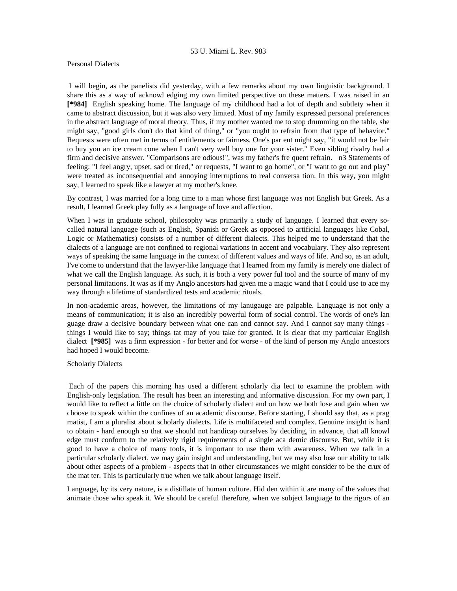### Personal Dialects

 I will begin, as the panelists did yesterday, with a few remarks about my own linguistic background. I share this as a way of acknowl edging my own limited perspective on these matters. I was raised in an **[\*984]** English speaking home. The language of my childhood had a lot of depth and subtlety when it came to abstract discussion, but it was also very limited. Most of my family expressed personal preferences in the abstract language of moral theory. Thus, if my mother wanted me to stop drumming on the table, she might say, "good girls don't do that kind of thing," or "you ought to refrain from that type of behavior." Requests were often met in terms of entitlements or fairness. One's par ent might say, "it would not be fair to buy you an ice cream cone when I can't very well buy one for your sister." Even sibling rivalry had a firm and decisive answer. "Comparisons are odious!", was my father's fre quent refrain. n3 Statements of feeling: "I feel angry, upset, sad or tired," or requests, "I want to go home", or "I want to go out and play" were treated as inconsequential and annoying interruptions to real conversa tion. In this way, you might say, I learned to speak like a lawyer at my mother's knee.

By contrast, I was married for a long time to a man whose first language was not English but Greek. As a result, I learned Greek play fully as a language of love and affection.

When I was in graduate school, philosophy was primarily a study of language. I learned that every socalled natural language (such as English, Spanish or Greek as opposed to artificial languages like Cobal, Logic or Mathematics) consists of a number of different dialects. This helped me to understand that the dialects of a language are not confined to regional variations in accent and vocabulary. They also represent ways of speaking the same language in the context of different values and ways of life. And so, as an adult, I've come to understand that the lawyer-like language that I learned from my family is merely one dialect of what we call the English language. As such, it is both a very power ful tool and the source of many of my personal limitations. It was as if my Anglo ancestors had given me a magic wand that I could use to ace my way through a lifetime of standardized tests and academic rituals.

In non-academic areas, however, the limitations of my lanugauge are palpable. Language is not only a means of communication; it is also an incredibly powerful form of social control. The words of one's lan guage draw a decisive boundary between what one can and cannot say. And I cannot say many things things I would like to say; things tat may of you take for granted. It is clear that my particular English dialect **[\*985]** was a firm expression - for better and for worse - of the kind of person my Anglo ancestors had hoped I would become.

# Scholarly Dialects

 Each of the papers this morning has used a different scholarly dia lect to examine the problem with English-only legislation. The result has been an interesting and informative discussion. For my own part, I would like to reflect a little on the choice of scholarly dialect and on how we both lose and gain when we choose to speak within the confines of an academic discourse. Before starting, I should say that, as a prag matist, I am a pluralist about scholarly dialects. Life is multifaceted and complex. Genuine insight is hard to obtain - hard enough so that we should not handicap ourselves by deciding, in advance, that all knowl edge must conform to the relatively rigid requirements of a single aca demic discourse. But, while it is good to have a choice of many tools, it is important to use them with awareness. When we talk in a particular scholarly dialect, we may gain insight and understanding, but we may also lose our ability to talk about other aspects of a problem - aspects that in other circumstances we might consider to be the crux of the mat ter. This is particularly true when we talk about language itself.

Language, by its very nature, is a distillate of human culture. Hid den within it are many of the values that animate those who speak it. We should be careful therefore, when we subject language to the rigors of an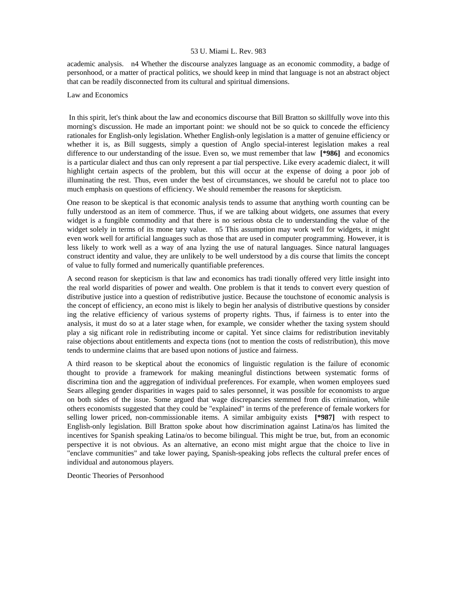academic analysis. n4 Whether the discourse analyzes language as an economic commodity, a badge of personhood, or a matter of practical politics, we should keep in mind that language is not an abstract object that can be readily disconnected from its cultural and spiritual dimensions.

### Law and Economics

 In this spirit, let's think about the law and economics discourse that Bill Bratton so skillfully wove into this morning's discussion. He made an important point: we should not be so quick to concede the efficiency rationales for English-only legislation. Whether English-only legislation is a matter of genuine efficiency or whether it is, as Bill suggests, simply a question of Anglo special-interest legislation makes a real difference to our understanding of the issue. Even so, we must remember that law **[\*986]** and economics is a particular dialect and thus can only represent a par tial perspective. Like every academic dialect, it will highlight certain aspects of the problem, but this will occur at the expense of doing a poor job of illuminating the rest. Thus, even under the best of circumstances, we should be careful not to place too much emphasis on questions of efficiency. We should remember the reasons for skepticism.

One reason to be skeptical is that economic analysis tends to assume that anything worth counting can be fully understood as an item of commerce. Thus, if we are talking about widgets, one assumes that every widget is a fungible commodity and that there is no serious obsta cle to understanding the value of the widget solely in terms of its mone tary value. n5 This assumption may work well for widgets, it might even work well for artificial languages such as those that are used in computer programming. However, it is less likely to work well as a way of ana lyzing the use of natural languages. Since natural languages construct identity and value, they are unlikely to be well understood by a dis course that limits the concept of value to fully formed and numerically quantifiable preferences.

A second reason for skepticism is that law and economics has tradi tionally offered very little insight into the real world disparities of power and wealth. One problem is that it tends to convert every question of distributive justice into a question of redistributive justice. Because the touchstone of economic analysis is the concept of efficiency, an econo mist is likely to begin her analysis of distributive questions by consider ing the relative efficiency of various systems of property rights. Thus, if fairness is to enter into the analysis, it must do so at a later stage when, for example, we consider whether the taxing system should play a sig nificant role in redistributing income or capital. Yet since claims for redistribution inevitably raise objections about entitlements and expecta tions (not to mention the costs of redistribution), this move tends to undermine claims that are based upon notions of justice and fairness.

A third reason to be skeptical about the economics of linguistic regulation is the failure of economic thought to provide a framework for making meaningful distinctions between systematic forms of discrimina tion and the aggregation of individual preferences. For example, when women employees sued Sears alleging gender disparities in wages paid to sales personnel, it was possible for economists to argue on both sides of the issue. Some argued that wage discrepancies stemmed from dis crimination, while others economists suggested that they could be "explained" in terms of the preference of female workers for selling lower priced, non-commissionable items. A similar ambiguity exists **[\*987]** with respect to English-only legislation. Bill Bratton spoke about how discrimination against Latina/os has limited the incentives for Spanish speaking Latina/os to become bilingual. This might be true, but, from an economic perspective it is not obvious. As an alternative, an econo mist might argue that the choice to live in "enclave communities" and take lower paying, Spanish-speaking jobs reflects the cultural prefer ences of individual and autonomous players.

Deontic Theories of Personhood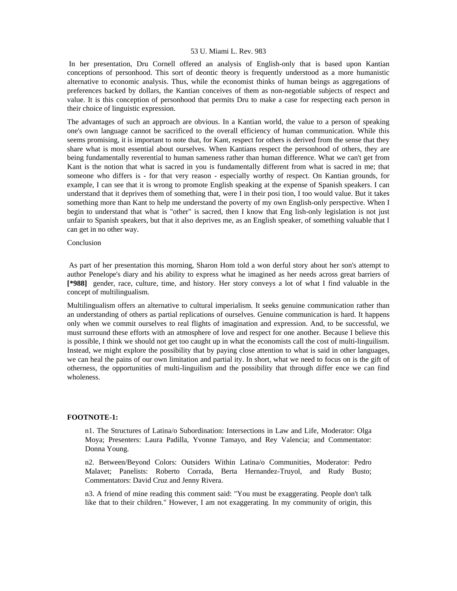In her presentation, Dru Cornell offered an analysis of English-only that is based upon Kantian conceptions of personhood. This sort of deontic theory is frequently understood as a more humanistic alternative to economic analysis. Thus, while the economist thinks of human beings as aggregations of preferences backed by dollars, the Kantian conceives of them as non-negotiable subjects of respect and value. It is this conception of personhood that permits Dru to make a case for respecting each person in their choice of linguistic expression.

The advantages of such an approach are obvious. In a Kantian world, the value to a person of speaking one's own language cannot be sacrificed to the overall efficiency of human communication. While this seems promising, it is important to note that, for Kant, respect for others is derived from the sense that they share what is most essential about ourselves. When Kantians respect the personhood of others, they are being fundamentally reverential to human sameness rather than human difference. What we can't get from Kant is the notion that what is sacred in you is fundamentally different from what is sacred in me; that someone who differs is - for that very reason - especially worthy of respect. On Kantian grounds, for example, I can see that it is wrong to promote English speaking at the expense of Spanish speakers. I can understand that it deprives them of something that, were I in their posi tion, I too would value. But it takes something more than Kant to help me understand the poverty of my own English-only perspective. When I begin to understand that what is "other" is sacred, then I know that Eng lish-only legislation is not just unfair to Spanish speakers, but that it also deprives me, as an English speaker, of something valuable that I can get in no other way.

# Conclusion

 As part of her presentation this morning, Sharon Hom told a won derful story about her son's attempt to author Penelope's diary and his ability to express what he imagined as her needs across great barriers of **[\*988]** gender, race, culture, time, and history. Her story conveys a lot of what I find valuable in the concept of multilingualism.

Multilingualism offers an alternative to cultural imperialism. It seeks genuine communication rather than an understanding of others as partial replications of ourselves. Genuine communication is hard. It happens only when we commit ourselves to real flights of imagination and expression. And, to be successful, we must surround these efforts with an atmosphere of love and respect for one another. Because I believe this is possible, I think we should not get too caught up in what the economists call the cost of multi-linguilism. Instead, we might explore the possibility that by paying close attention to what is said in other languages, we can heal the pains of our own limitation and partial ity. In short, what we need to focus on is the gift of otherness, the opportunities of multi-linguilism and the possibility that through differ ence we can find wholeness.

#### **FOOTNOTE-1:**

n1. The Structures of Latina/o Subordination: Intersections in Law and Life, Moderator: Olga Moya; Presenters: Laura Padilla, Yvonne Tamayo, and Rey Valencia; and Commentator: Donna Young.

n2. Between/Beyond Colors: Outsiders Within Latina/o Communities, Moderator: Pedro Malavet; Panelists: Roberto Corrada, Berta Hernandez-Truyol, and Rudy Busto; Commentators: David Cruz and Jenny Rivera.

n3. A friend of mine reading this comment said: "You must be exaggerating. People don't talk like that to their children." However, I am not exaggerating. In my community of origin, this